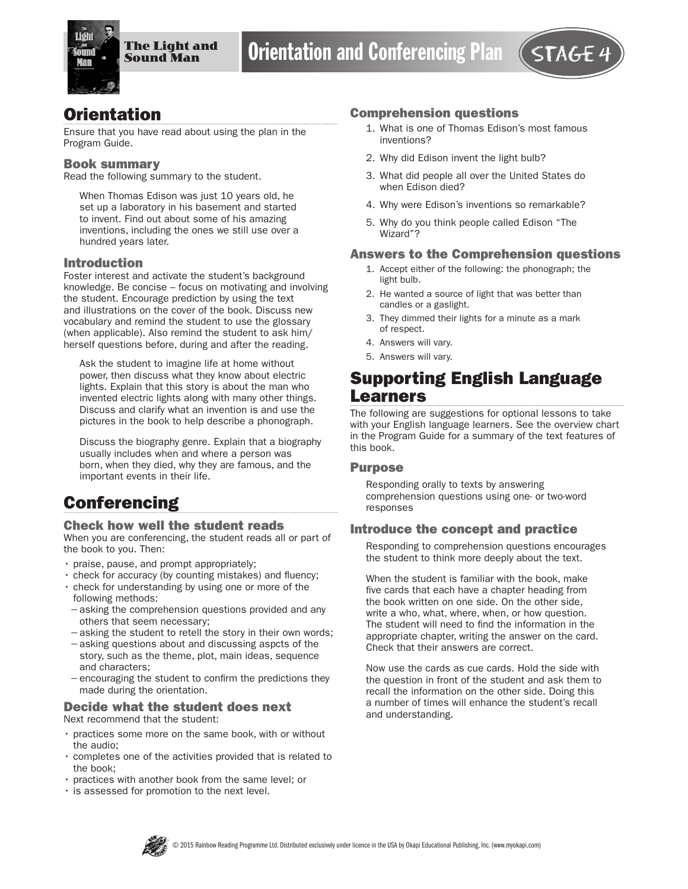

# **Orientation**

Ensure that you have read about using the plan in the Program Guide.

#### Book summary

Read the following summary to the student.

When Thomas Edison was just 10 years old, he set up a laboratory in his basement and started to invent. Find out about some of his amazing inventions, including the ones we still use over a hundred years later.

#### Introduction

Foster interest and activate the student's background knowledge. Be concise – focus on motivating and involving the student. Encourage prediction by using the text and illustrations on the cover of the book. Discuss new vocabulary and remind the student to use the glossary (when applicable). Also remind the student to ask him/ herself questions before, during and after the reading.

Ask the student to imagine life at home without power, then discuss what they know about electric lights. Explain that this story is about the man who invented electric lights along with many other things. Discuss and clarify what an invention is and use the pictures in the book to help describe a phonograph.

Discuss the biography genre. Explain that a biography usually includes when and where a person was born, when they died, why they are famous, and the important events in their life.

# **Conferencing**

#### Check how well the student reads

When you are conferencing, the student reads all or part of the book to you. Then:

- praise, pause, and prompt appropriately;
- check for accuracy (by counting mistakes) and fluency;
- check for understanding by using one or more of the following methods:
- −asking the comprehension questions provided and any others that seem necessary;
- −asking the student to retell the story in their own words;
- −asking questions about and discussing aspcts of the story, such as the theme, plot, main ideas, sequence and characters;
- −encouraging the student to confirm the predictions they made during the orientation.

#### Decide what the student does next Next recommend that the student:

- practices some more on the same book, with or without the audio;
- completes one of the activities provided that is related to the book;
- practices with another book from the same level; or
- is assessed for promotion to the next level.

#### Comprehension questions

- 1. What is one of Thomas Edison's most famous inventions?
- 2. Why did Edison invent the light bulb?
- 3. What did people all over the United States do when Edison died?
- 4. Why were Edison's inventions so remarkable?
- 5. Why do you think people called Edison "The Wizard"?

#### Answers to the Comprehension questions

- 1. Accept either of the following: the phonograph; the light bulb.
- 2. He wanted a source of light that was better than candles or a gaslight.
- 3. They dimmed their lights for a minute as a mark of respect.
- 4. Answers will vary.
- 5. Answers will vary.

## Supporting English Language Learners

The following are suggestions for optional lessons to take with your English language learners. See the overview chart in the Program Guide for a summary of the text features of this book.

#### Purpose

Responding orally to texts by answering comprehension questions using one- or two-word responses

#### Introduce the concept and practice

Responding to comprehension questions encourages the student to think more deeply about the text.

When the student is familiar with the book, make five cards that each have a chapter heading from the book written on one side. On the other side, write a who, what, where, when, or how question. The student will need to find the information in the appropriate chapter, writing the answer on the card. Check that their answers are correct.

Now use the cards as cue cards. Hold the side with the question in front of the student and ask them to recall the information on the other side. Doing this a number of times will enhance the student's recall and understanding.

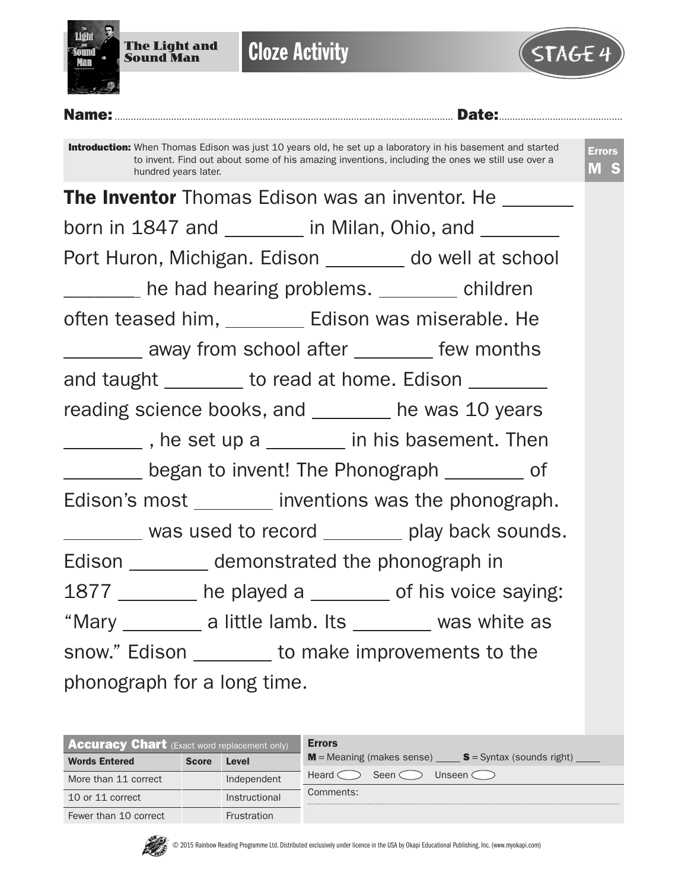

**Cloze Activity** 



Name:.............................................................................................................................. Date:..............................................

Introduction: When Thomas Edison was just 10 years old, he set up a laboratory in his basement and started to invent. Find out about some of his amazing inventions, including the ones we still use over a hundred years later. Errors M S **The Inventor** Thomas Edison was an inventor. He \_\_\_\_\_\_\_\_ born in 1847 and  $\frac{1}{\sqrt{1-\frac{1}{\sqrt{1-\frac{1}{\sqrt{1-\frac{1}{\sqrt{1-\frac{1}{\sqrt{1-\frac{1}{\sqrt{1-\frac{1}{\sqrt{1-\frac{1}{\sqrt{1-\frac{1}{\sqrt{1-\frac{1}{\sqrt{1-\frac{1}{\sqrt{1-\frac{1}{\sqrt{1-\frac{1}{\sqrt{1-\frac{1}{\sqrt{1-\frac{1}{\sqrt{1-\frac{1}{\sqrt{1-\frac{1}{\sqrt{1-\frac{1}{\sqrt{1-\frac{1}{\sqrt{1-\frac{1}{\sqrt{1-\frac{1}{\sqrt{1-\frac{1}{\sqrt{1-\frac{1}{$ Port Huron, Michigan. Edison \_\_\_\_\_\_\_ do well at school Let the had hearing problems. Let the children often teased him, \_\_\_\_\_\_\_\_\_\_ Edison was miserable. He **Fig. 2.** The away from school after **Fig. 2. The months** and taught \_\_\_\_\_\_\_\_ to read at home. Edison \_\_\_\_\_\_\_ reading science books, and \_\_\_\_\_\_\_ he was 10 years The set up a in his basement. Then began to invent! The Phonograph \_\_\_\_\_\_\_\_\_ of Edison's most \_\_\_\_\_\_\_ inventions was the phonograph. was used to record \_\_\_\_\_\_\_ play back sounds. Edison \_\_\_\_\_\_\_\_\_\_ demonstrated the phonograph in 1877 \_\_\_\_\_\_\_ he played a \_\_\_\_\_\_ of his voice saying: "Mary  $\frac{1}{\sqrt{2\pi}}$  a little lamb. Its  $\frac{1}{\sqrt{2\pi}}$  was white as snow." Edison \_\_\_\_\_\_\_\_ to make improvements to the phonograph for a long time.

| <b>Accuracy Chart</b> (Exact word replacement only) |              |                    | <b>Errors</b>                                           |
|-----------------------------------------------------|--------------|--------------------|---------------------------------------------------------|
| <b>Words Entered</b>                                | <b>Score</b> | Level              | $M$ = Meaning (makes sense) $S$ = Syntax (sounds right) |
| More than 11 correct                                |              | Independent        | Seen $\subset$<br>Unseen $\subset$<br>Heard <           |
| 10 or 11 correct                                    |              | Instructional      | Comments:                                               |
| Fewer than 10 correct                               |              | <b>Frustration</b> |                                                         |

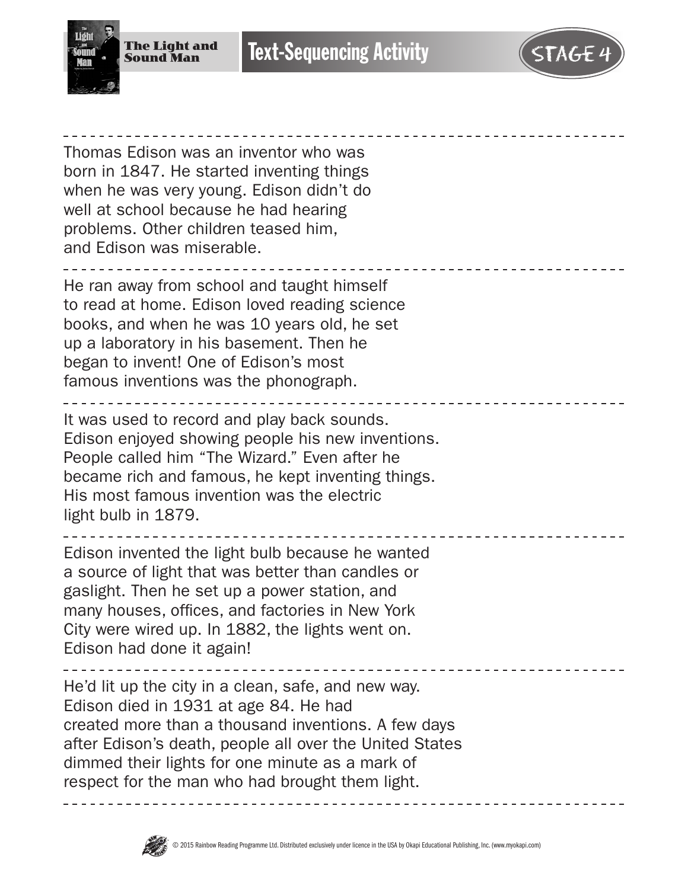

Thomas Edison was an inventor who was born in 1847. He started inventing things when he was very young. Edison didn't do well at school because he had hearing problems. Other children teased him, and Edison was miserable. He ran away from school and taught himself to read at home. Edison loved reading science books, and when he was 10 years old, he set up a laboratory in his basement. Then he began to invent! One of Edison's most famous inventions was the phonograph. It was used to record and play back sounds. Edison enjoyed showing people his new inventions. People called him "The Wizard." Even after he became rich and famous, he kept inventing things. His most famous invention was the electric light bulb in 1879.

Edison invented the light bulb because he wanted a source of light that was better than candles or gaslight. Then he set up a power station, and many houses, offices, and factories in New York City were wired up. In 1882, the lights went on. Edison had done it again!

He'd lit up the city in a clean, safe, and new way. Edison died in 1931 at age 84. He had created more than a thousand inventions. A few days after Edison's death, people all over the United States dimmed their lights for one minute as a mark of respect for the man who had brought them light.

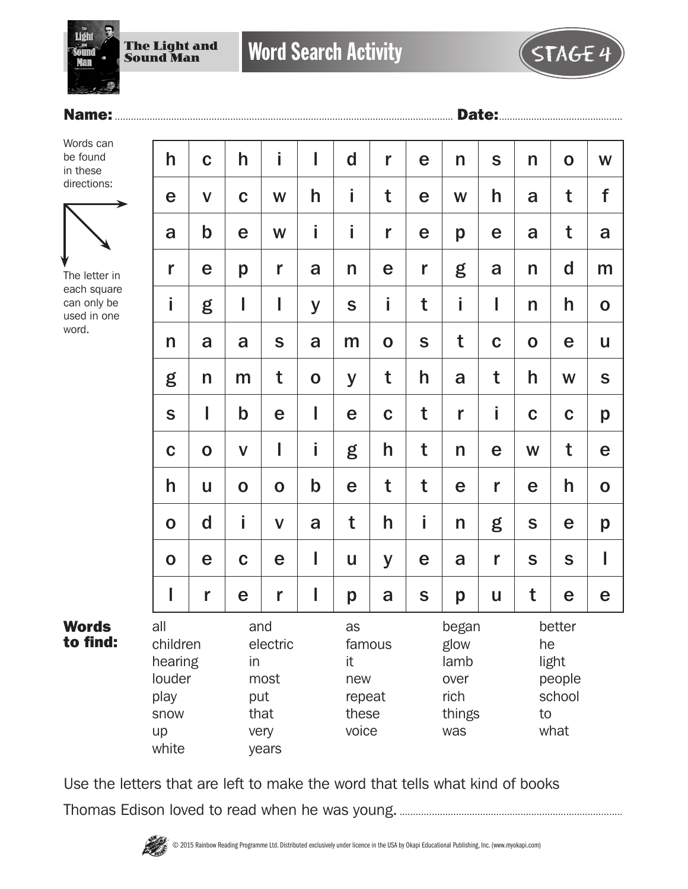

## Name:.............................................................................................................................. Date:..............................................

Words can be found in these directions:



The letter in each square can only be used in one word.

Words to find:

| h                                                                   | $\mathbf C$ | h                | i                                         | I           | $\mathbf d$                                           | r           | e             | n                                                      | S           | n           | $\mathbf 0$                                             | W            |  |
|---------------------------------------------------------------------|-------------|------------------|-------------------------------------------|-------------|-------------------------------------------------------|-------------|---------------|--------------------------------------------------------|-------------|-------------|---------------------------------------------------------|--------------|--|
| е                                                                   | $\mathbf V$ | $\mathbf C$      | W                                         | h           | İ                                                     | t           | e             | W                                                      | h           | a           | t                                                       | f            |  |
| a                                                                   | $\mathsf b$ | e                | W                                         | i           | İ                                                     | r           | e             | p                                                      | e           | a           | t                                                       | a            |  |
| r                                                                   | e           | p                | r                                         | a           | n                                                     | e           | r             | g                                                      | a           | n           | $\mathsf{d}$                                            | m            |  |
| İ                                                                   | g           | I                | I                                         | y           | S                                                     | i           | t             | İ                                                      | I           | n           | h                                                       | $\mathbf 0$  |  |
| n                                                                   | a           | a                | S                                         | a           | m                                                     | $\mathbf O$ | S             | t                                                      | $\mathbf C$ | $\mathbf O$ | e                                                       | $\mathsf{u}$ |  |
| g                                                                   | n           | m                | t                                         | $\mathbf O$ | y                                                     | t           | h             | a                                                      | t           | h           | W                                                       | S            |  |
| S                                                                   | I           | $\mathbf b$      | e                                         | I           | e                                                     | $\mathbf C$ | t             | r                                                      | İ.          | $\mathbf C$ | $\mathbf C$                                             | p            |  |
| $\mathbf C$                                                         | $\mathbf 0$ | $\mathsf{V}$     | I                                         | i           | g                                                     | h           | t             | n                                                      | e           | W           | t                                                       | $\mathbf e$  |  |
| h                                                                   | U           | $\mathbf 0$      | $\mathbf 0$                               | $\mathbf b$ | e                                                     | t           | t             | e                                                      | r           | e           | h                                                       | $\mathbf 0$  |  |
| $\mathbf 0$                                                         | $\mathbf d$ | Î                | $\mathbf V$                               | a           | t                                                     | h           | i             | n                                                      | g           | S           | e                                                       | p            |  |
| $\mathbf O$                                                         | e           | $\mathbf C$      | e                                         | I           | U                                                     | y           | e             | a                                                      | r           | S           | S                                                       | I            |  |
| I                                                                   | r           | e                | r                                         | I           | p                                                     | a           | ${\mathsf S}$ | p                                                      | U           | t           | e                                                       | e            |  |
| all<br>children<br>hearing<br>louder<br>play<br>snow<br>up<br>white |             | and<br>in<br>put | electric<br>most<br>that<br>very<br>years |             | as<br>famous<br>it<br>new<br>repeat<br>these<br>voice |             |               | began<br>glow<br>lamb<br>over<br>rich<br>things<br>was |             |             | better<br>he<br>light<br>people<br>school<br>to<br>what |              |  |

Use the letters that are left to make the word that tells what kind of books Thomas Edison loved to read when he was young....................................................................................

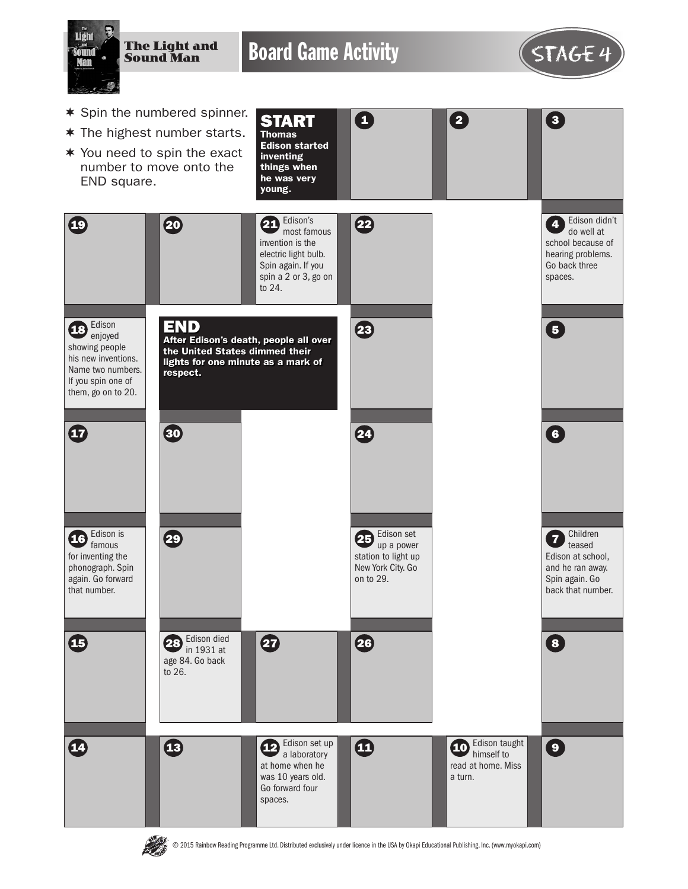

**PASS** 

© 2015 Rainbow Reading Programme Ltd. Distributed exclusively under licence in the USA by Okapi Educational Publishing, Inc. (www.myokapi.com)